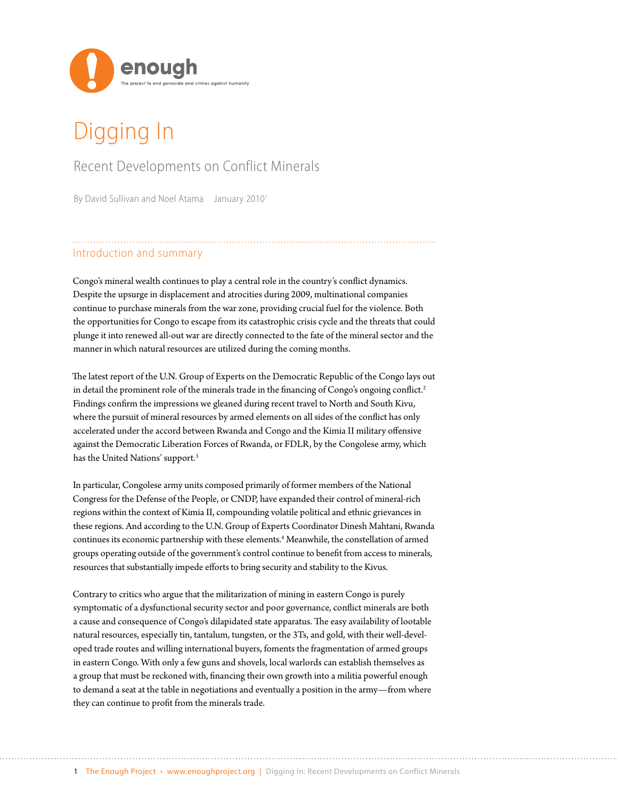

# Digging In

### Recent Developments on Conflict Minerals

By David Sullivan and Noel Atama January 2010<sup>1</sup>

### Introduction and summary

Congo's mineral wealth continues to play a central role in the country's conflict dynamics. Despite the upsurge in displacement and atrocities during 2009, multinational companies continue to purchase minerals from the war zone, providing crucial fuel for the violence. Both the opportunities for Congo to escape from its catastrophic crisis cycle and the threats that could plunge it into renewed all-out war are directly connected to the fate of the mineral sector and the manner in which natural resources are utilized during the coming months.

The latest report of the U.N. Group of Experts on the Democratic Republic of the Congo lays out in detail the prominent role of the minerals trade in the financing of Congo's ongoing conflict.<sup>2</sup> Findings confirm the impressions we gleaned during recent travel to North and South Kivu, where the pursuit of mineral resources by armed elements on all sides of the conflict has only accelerated under the accord between Rwanda and Congo and the Kimia II military offensive against the Democratic Liberation Forces of Rwanda, or FDLR, by the Congolese army, which has the United Nations' support.<sup>3</sup>

In particular, Congolese army units composed primarily of former members of the National Congress for the Defense of the People, or CNDP, have expanded their control of mineral-rich regions within the context of Kimia II, compounding volatile political and ethnic grievances in these regions. And according to the U.N. Group of Experts Coordinator Dinesh Mahtani, Rwanda continues its economic partnership with these elements.<sup>4</sup> Meanwhile, the constellation of armed groups operating outside of the government's control continue to benefit from access to minerals, resources that substantially impede efforts to bring security and stability to the Kivus.

Contrary to critics who argue that the militarization of mining in eastern Congo is purely symptomatic of a dysfunctional security sector and poor governance, conflict minerals are both a cause and consequence of Congo's dilapidated state apparatus. The easy availability of lootable natural resources, especially tin, tantalum, tungsten, or the 3Ts, and gold, with their well-developed trade routes and willing international buyers, foments the fragmentation of armed groups in eastern Congo. With only a few guns and shovels, local warlords can establish themselves as a group that must be reckoned with, financing their own growth into a militia powerful enough to demand a seat at the table in negotiations and eventually a position in the army—from where they can continue to profit from the minerals trade.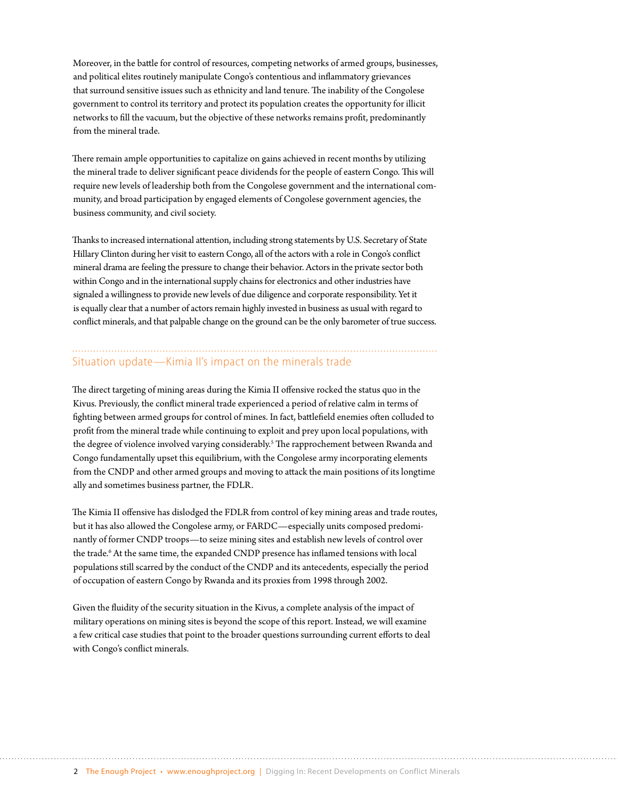Moreover, in the battle for control of resources, competing networks of armed groups, businesses, and political elites routinely manipulate Congo's contentious and inflammatory grievances that surround sensitive issues such as ethnicity and land tenure. The inability of the Congolese government to control its territory and protect its population creates the opportunity for illicit networks to fill the vacuum, but the objective of these networks remains profit, predominantly from the mineral trade.

There remain ample opportunities to capitalize on gains achieved in recent months by utilizing the mineral trade to deliver significant peace dividends for the people of eastern Congo. This will require new levels of leadership both from the Congolese government and the international community, and broad participation by engaged elements of Congolese government agencies, the business community, and civil society.

Thanks to increased international attention, including strong statements by U.S. Secretary of State Hillary Clinton during her visit to eastern Congo, all of the actors with a role in Congo's conflict mineral drama are feeling the pressure to change their behavior. Actors in the private sector both within Congo and in the international supply chains for electronics and other industries have signaled a willingness to provide new levels of due diligence and corporate responsibility. Yet it is equally clear that a number of actors remain highly invested in business as usual with regard to conflict minerals, and that palpable change on the ground can be the only barometer of true success.

# Situation update—Kimia II's impact on the minerals trade

The direct targeting of mining areas during the Kimia II offensive rocked the status quo in the Kivus. Previously, the conflict mineral trade experienced a period of relative calm in terms of fighting between armed groups for control of mines. In fact, battlefield enemies often colluded to profit from the mineral trade while continuing to exploit and prey upon local populations, with the degree of violence involved varying considerably.<sup>5</sup> The rapprochement between Rwanda and Congo fundamentally upset this equilibrium, with the Congolese army incorporating elements from the CNDP and other armed groups and moving to attack the main positions of its longtime ally and sometimes business partner, the FDLR.

The Kimia II offensive has dislodged the FDLR from control of key mining areas and trade routes, but it has also allowed the Congolese army, or FARDC—especially units composed predominantly of former CNDP troops—to seize mining sites and establish new levels of control over the trade.<sup>6</sup> At the same time, the expanded CNDP presence has inflamed tensions with local populations still scarred by the conduct of the CNDP and its antecedents, especially the period of occupation of eastern Congo by Rwanda and its proxies from 1998 through 2002.

Given the fluidity of the security situation in the Kivus, a complete analysis of the impact of military operations on mining sites is beyond the scope of this report. Instead, we will examine a few critical case studies that point to the broader questions surrounding current efforts to deal with Congo's conflict minerals.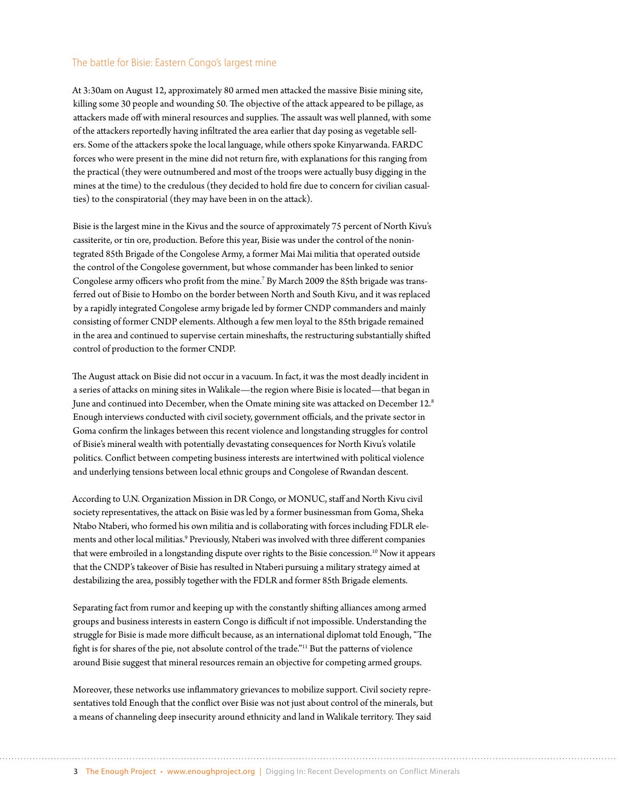#### The battle for Bisie: Eastern Congo's largest mine

At 3:30am on August 12, approximately 80 armed men attacked the massive Bisie mining site, killing some 30 people and wounding 50. The objective of the attack appeared to be pillage, as attackers made off with mineral resources and supplies. The assault was well planned, with some of the attackers reportedly having infiltrated the area earlier that day posing as vegetable sellers. Some of the attackers spoke the local language, while others spoke Kinyarwanda. FARDC forces who were present in the mine did not return fire, with explanations for this ranging from the practical (they were outnumbered and most of the troops were actually busy digging in the mines at the time) to the credulous (they decided to hold fire due to concern for civilian casualties) to the conspiratorial (they may have been in on the attack).

Bisie is the largest mine in the Kivus and the source of approximately 75 percent of North Kivu's cassiterite, or tin ore, production. Before this year, Bisie was under the control of the nonintegrated 85th Brigade of the Congolese Army, a former Mai Mai militia that operated outside the control of the Congolese government, but whose commander has been linked to senior Congolese army officers who profit from the mine.<sup>7</sup> By March 2009 the 85th brigade was transferred out of Bisie to Hombo on the border between North and South Kivu, and it was replaced by a rapidly integrated Congolese army brigade led by former CNDP commanders and mainly consisting of former CNDP elements. Although a few men loyal to the 85th brigade remained in the area and continued to supervise certain mineshafts, the restructuring substantially shifted control of production to the former CNDP.

The August attack on Bisie did not occur in a vacuum. In fact, it was the most deadly incident in a series of attacks on mining sites in Walikale—the region where Bisie is located—that began in June and continued into December, when the Omate mining site was attacked on December 12.<sup>8</sup> Enough interviews conducted with civil society, government officials, and the private sector in Goma confirm the linkages between this recent violence and longstanding struggles for control of Bisie's mineral wealth with potentially devastating consequences for North Kivu's volatile politics. Conflict between competing business interests are intertwined with political violence and underlying tensions between local ethnic groups and Congolese of Rwandan descent.

According to U.N. Organization Mission in DR Congo, or MONUC, staff and North Kivu civil society representatives, the attack on Bisie was led by a former businessman from Goma, Sheka Ntabo Ntaberi, who formed his own militia and is collaborating with forces including FDLR elements and other local militias.<sup>9</sup> Previously, Ntaberi was involved with three different companies that were embroiled in a longstanding dispute over rights to the Bisie concession.<sup>10</sup> Now it appears that the CNDP's takeover of Bisie has resulted in Ntaberi pursuing a military strategy aimed at destabilizing the area, possibly together with the FDLR and former 85th Brigade elements.

Separating fact from rumor and keeping up with the constantly shifting alliances among armed groups and business interests in eastern Congo is difficult if not impossible. Understanding the struggle for Bisie is made more difficult because, as an international diplomat told Enough, "The fight is for shares of the pie, not absolute control of the trade."11 But the patterns of violence around Bisie suggest that mineral resources remain an objective for competing armed groups.

Moreover, these networks use inflammatory grievances to mobilize support. Civil society representatives told Enough that the conflict over Bisie was not just about control of the minerals, but a means of channeling deep insecurity around ethnicity and land in Walikale territory. They said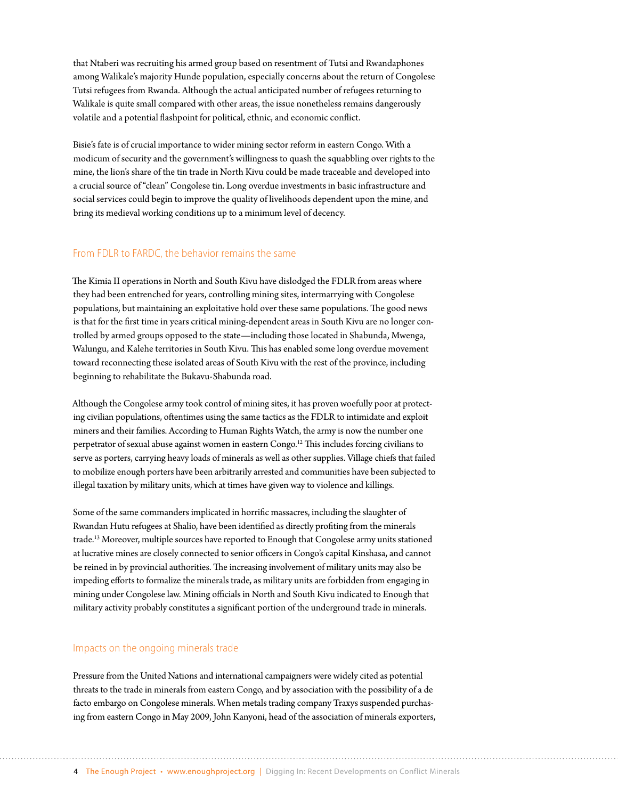that Ntaberi was recruiting his armed group based on resentment of Tutsi and Rwandaphones among Walikale's majority Hunde population, especially concerns about the return of Congolese Tutsi refugees from Rwanda. Although the actual anticipated number of refugees returning to Walikale is quite small compared with other areas, the issue nonetheless remains dangerously volatile and a potential flashpoint for political, ethnic, and economic conflict.

Bisie's fate is of crucial importance to wider mining sector reform in eastern Congo. With a modicum of security and the government's willingness to quash the squabbling over rights to the mine, the lion's share of the tin trade in North Kivu could be made traceable and developed into a crucial source of "clean" Congolese tin. Long overdue investments in basic infrastructure and social services could begin to improve the quality of livelihoods dependent upon the mine, and bring its medieval working conditions up to a minimum level of decency.

#### From FDLR to FARDC, the behavior remains the same

The Kimia II operations in North and South Kivu have dislodged the FDLR from areas where they had been entrenched for years, controlling mining sites, intermarrying with Congolese populations, but maintaining an exploitative hold over these same populations. The good news is that for the first time in years critical mining-dependent areas in South Kivu are no longer controlled by armed groups opposed to the state—including those located in Shabunda, Mwenga, Walungu, and Kalehe territories in South Kivu. This has enabled some long overdue movement toward reconnecting these isolated areas of South Kivu with the rest of the province, including beginning to rehabilitate the Bukavu-Shabunda road.

Although the Congolese army took control of mining sites, it has proven woefully poor at protecting civilian populations, oftentimes using the same tactics as the FDLR to intimidate and exploit miners and their families. According to Human Rights Watch, the army is now the number one perpetrator of sexual abuse against women in eastern Congo.<sup>12</sup> This includes forcing civilians to serve as porters, carrying heavy loads of minerals as well as other supplies. Village chiefs that failed to mobilize enough porters have been arbitrarily arrested and communities have been subjected to illegal taxation by military units, which at times have given way to violence and killings.

Some of the same commanders implicated in horrific massacres, including the slaughter of Rwandan Hutu refugees at Shalio, have been identified as directly profiting from the minerals trade.13 Moreover, multiple sources have reported to Enough that Congolese army units stationed at lucrative mines are closely connected to senior officers in Congo's capital Kinshasa, and cannot be reined in by provincial authorities. The increasing involvement of military units may also be impeding efforts to formalize the minerals trade, as military units are forbidden from engaging in mining under Congolese law. Mining officials in North and South Kivu indicated to Enough that military activity probably constitutes a significant portion of the underground trade in minerals.

#### Impacts on the ongoing minerals trade

Pressure from the United Nations and international campaigners were widely cited as potential threats to the trade in minerals from eastern Congo, and by association with the possibility of a de facto embargo on Congolese minerals. When metals trading company Traxys suspended purchasing from eastern Congo in May 2009, John Kanyoni, head of the association of minerals exporters,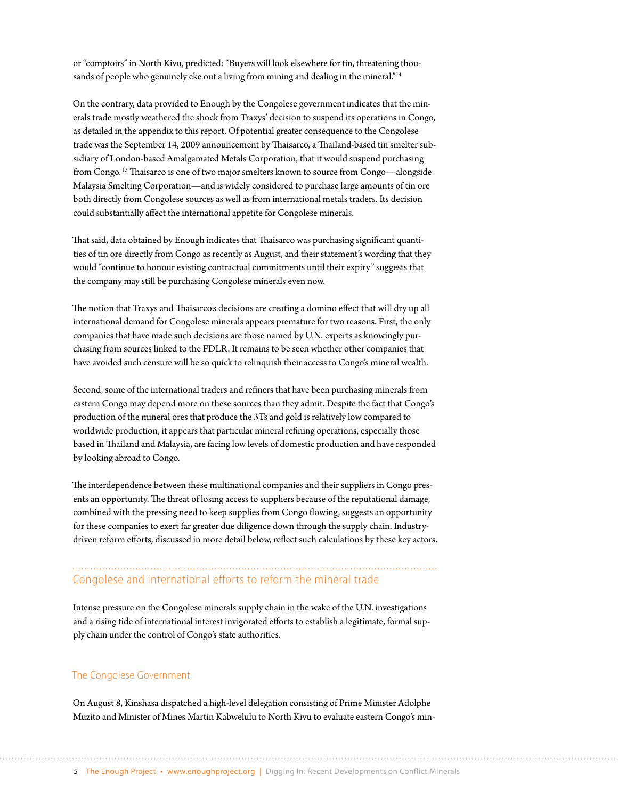or "comptoirs" in North Kivu, predicted: "Buyers will look elsewhere for tin, threatening thousands of people who genuinely eke out a living from mining and dealing in the mineral."<sup>14</sup>

On the contrary, data provided to Enough by the Congolese government indicates that the minerals trade mostly weathered the shock from Traxys' decision to suspend its operations in Congo, as detailed in the appendix to this report. Of potential greater consequence to the Congolese trade was the September 14, 2009 announcement by Thaisarco, a Thailand-based tin smelter subsidiary of London-based Amalgamated Metals Corporation, that it would suspend purchasing from Congo.<sup>15</sup> Thaisarco is one of two major smelters known to source from Congo—alongside Malaysia Smelting Corporation—and is widely considered to purchase large amounts of tin ore both directly from Congolese sources as well as from international metals traders. Its decision could substantially affect the international appetite for Congolese minerals.

That said, data obtained by Enough indicates that Thaisarco was purchasing significant quantities of tin ore directly from Congo as recently as August, and their statement's wording that they would "continue to honour existing contractual commitments until their expiry" suggests that the company may still be purchasing Congolese minerals even now.

The notion that Traxys and Thaisarco's decisions are creating a domino effect that will dry up all international demand for Congolese minerals appears premature for two reasons. First, the only companies that have made such decisions are those named by U.N. experts as knowingly purchasing from sources linked to the FDLR. It remains to be seen whether other companies that have avoided such censure will be so quick to relinquish their access to Congo's mineral wealth.

Second, some of the international traders and refiners that have been purchasing minerals from eastern Congo may depend more on these sources than they admit. Despite the fact that Congo's production of the mineral ores that produce the 3Ts and gold is relatively low compared to worldwide production, it appears that particular mineral refining operations, especially those based in Thailand and Malaysia, are facing low levels of domestic production and have responded by looking abroad to Congo.

The interdependence between these multinational companies and their suppliers in Congo presents an opportunity. The threat of losing access to suppliers because of the reputational damage, combined with the pressing need to keep supplies from Congo flowing, suggests an opportunity for these companies to exert far greater due diligence down through the supply chain. Industrydriven reform efforts, discussed in more detail below, reflect such calculations by these key actors.

## Congolese and international efforts to reform the mineral trade

Intense pressure on the Congolese minerals supply chain in the wake of the U.N. investigations and a rising tide of international interest invigorated efforts to establish a legitimate, formal supply chain under the control of Congo's state authorities.

#### The Congolese Government

On August 8, Kinshasa dispatched a high-level delegation consisting of Prime Minister Adolphe Muzito and Minister of Mines Martin Kabwelulu to North Kivu to evaluate eastern Congo's min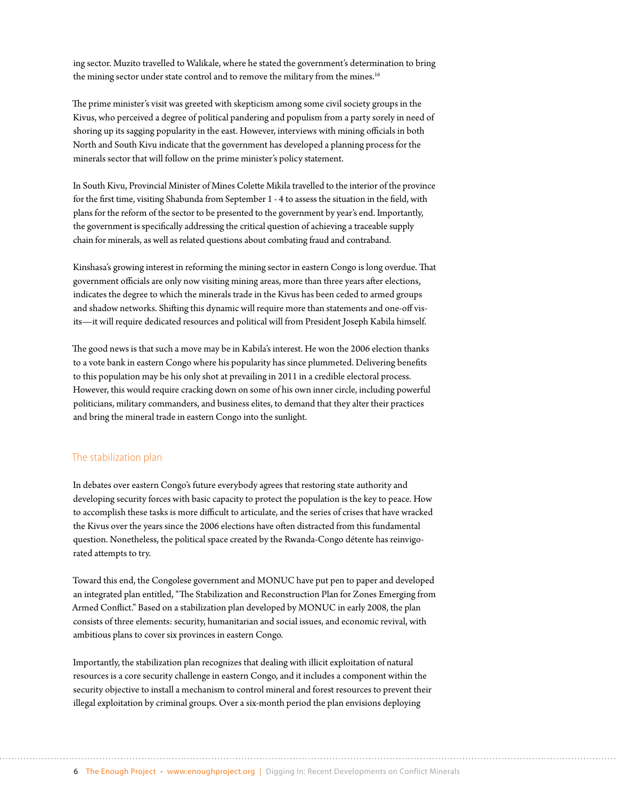ing sector. Muzito travelled to Walikale, where he stated the government's determination to bring the mining sector under state control and to remove the military from the mines.<sup>16</sup>

The prime minister's visit was greeted with skepticism among some civil society groups in the Kivus, who perceived a degree of political pandering and populism from a party sorely in need of shoring up its sagging popularity in the east. However, interviews with mining officials in both North and South Kivu indicate that the government has developed a planning process for the minerals sector that will follow on the prime minister's policy statement.

In South Kivu, Provincial Minister of Mines Colette Mikila travelled to the interior of the province for the first time, visiting Shabunda from September 1 - 4 to assess the situation in the field, with plans for the reform of the sector to be presented to the government by year's end. Importantly, the government is specifically addressing the critical question of achieving a traceable supply chain for minerals, as well as related questions about combating fraud and contraband.

Kinshasa's growing interest in reforming the mining sector in eastern Congo is long overdue. That government officials are only now visiting mining areas, more than three years after elections, indicates the degree to which the minerals trade in the Kivus has been ceded to armed groups and shadow networks. Shifting this dynamic will require more than statements and one-off visits—it will require dedicated resources and political will from President Joseph Kabila himself.

The good news is that such a move may be in Kabila's interest. He won the 2006 election thanks to a vote bank in eastern Congo where his popularity has since plummeted. Delivering benefits to this population may be his only shot at prevailing in 2011 in a credible electoral process. However, this would require cracking down on some of his own inner circle, including powerful politicians, military commanders, and business elites, to demand that they alter their practices and bring the mineral trade in eastern Congo into the sunlight.

#### The stabilization plan

In debates over eastern Congo's future everybody agrees that restoring state authority and developing security forces with basic capacity to protect the population is the key to peace. How to accomplish these tasks is more difficult to articulate, and the series of crises that have wracked the Kivus over the years since the 2006 elections have often distracted from this fundamental question. Nonetheless, the political space created by the Rwanda-Congo détente has reinvigorated attempts to try.

Toward this end, the Congolese government and MONUC have put pen to paper and developed an integrated plan entitled, "The Stabilization and Reconstruction Plan for Zones Emerging from Armed Conflict." Based on a stabilization plan developed by MONUC in early 2008, the plan consists of three elements: security, humanitarian and social issues, and economic revival, with ambitious plans to cover six provinces in eastern Congo.

Importantly, the stabilization plan recognizes that dealing with illicit exploitation of natural resources is a core security challenge in eastern Congo, and it includes a component within the security objective to install a mechanism to control mineral and forest resources to prevent their illegal exploitation by criminal groups. Over a six-month period the plan envisions deploying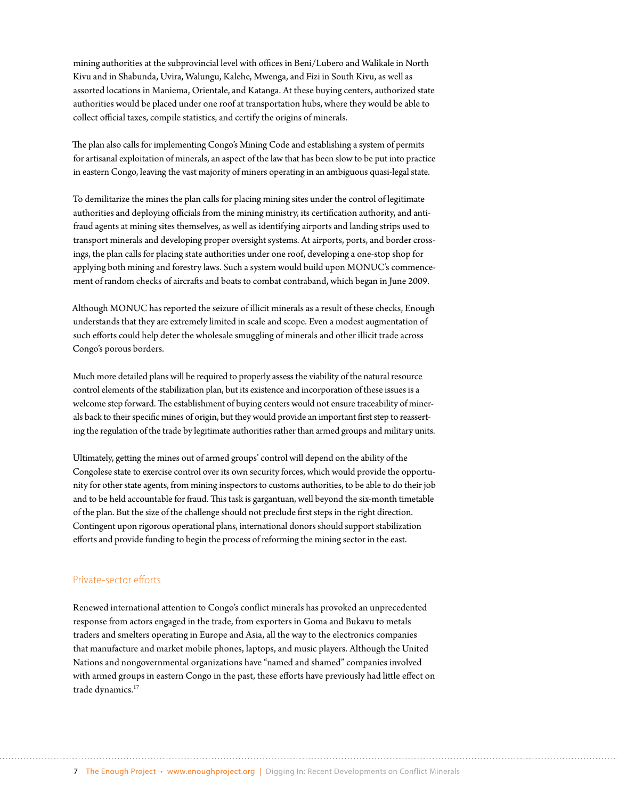mining authorities at the subprovincial level with offices in Beni/Lubero and Walikale in North Kivu and in Shabunda, Uvira, Walungu, Kalehe, Mwenga, and Fizi in South Kivu, as well as assorted locations in Maniema, Orientale, and Katanga. At these buying centers, authorized state authorities would be placed under one roof at transportation hubs, where they would be able to collect official taxes, compile statistics, and certify the origins of minerals.

The plan also calls for implementing Congo's Mining Code and establishing a system of permits for artisanal exploitation of minerals, an aspect of the law that has been slow to be put into practice in eastern Congo, leaving the vast majority of miners operating in an ambiguous quasi-legal state.

To demilitarize the mines the plan calls for placing mining sites under the control of legitimate authorities and deploying officials from the mining ministry, its certification authority, and antifraud agents at mining sites themselves, as well as identifying airports and landing strips used to transport minerals and developing proper oversight systems. At airports, ports, and border crossings, the plan calls for placing state authorities under one roof, developing a one-stop shop for applying both mining and forestry laws. Such a system would build upon MONUC's commencement of random checks of aircrafts and boats to combat contraband, which began in June 2009.

Although MONUC has reported the seizure of illicit minerals as a result of these checks, Enough understands that they are extremely limited in scale and scope. Even a modest augmentation of such efforts could help deter the wholesale smuggling of minerals and other illicit trade across Congo's porous borders.

Much more detailed plans will be required to properly assess the viability of the natural resource control elements of the stabilization plan, but its existence and incorporation of these issues is a welcome step forward. The establishment of buying centers would not ensure traceability of minerals back to their specific mines of origin, but they would provide an important first step to reasserting the regulation of the trade by legitimate authorities rather than armed groups and military units.

Ultimately, getting the mines out of armed groups' control will depend on the ability of the Congolese state to exercise control over its own security forces, which would provide the opportunity for other state agents, from mining inspectors to customs authorities, to be able to do their job and to be held accountable for fraud. This task is gargantuan, well beyond the six-month timetable of the plan. But the size of the challenge should not preclude first steps in the right direction. Contingent upon rigorous operational plans, international donors should support stabilization efforts and provide funding to begin the process of reforming the mining sector in the east.

#### Private-sector efforts

Renewed international attention to Congo's conflict minerals has provoked an unprecedented response from actors engaged in the trade, from exporters in Goma and Bukavu to metals traders and smelters operating in Europe and Asia, all the way to the electronics companies that manufacture and market mobile phones, laptops, and music players. Although the United Nations and nongovernmental organizations have "named and shamed" companies involved with armed groups in eastern Congo in the past, these efforts have previously had little effect on trade dynamics.<sup>17</sup>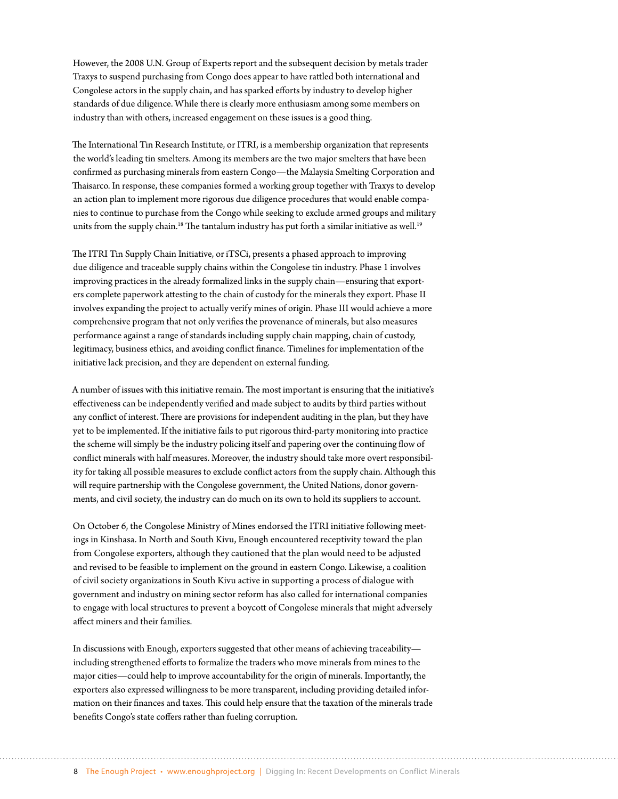However, the 2008 U.N. Group of Experts report and the subsequent decision by metals trader Traxys to suspend purchasing from Congo does appear to have rattled both international and Congolese actors in the supply chain, and has sparked efforts by industry to develop higher standards of due diligence. While there is clearly more enthusiasm among some members on industry than with others, increased engagement on these issues is a good thing.

The International Tin Research Institute, or ITRI, is a membership organization that represents the world's leading tin smelters. Among its members are the two major smelters that have been confirmed as purchasing minerals from eastern Congo—the Malaysia Smelting Corporation and Thaisarco. In response, these companies formed a working group together with Traxys to develop an action plan to implement more rigorous due diligence procedures that would enable companies to continue to purchase from the Congo while seeking to exclude armed groups and military units from the supply chain.<sup>18</sup> The tantalum industry has put forth a similar initiative as well.<sup>19</sup>

The ITRI Tin Supply Chain Initiative, or iTSCi, presents a phased approach to improving due diligence and traceable supply chains within the Congolese tin industry. Phase 1 involves improving practices in the already formalized links in the supply chain—ensuring that exporters complete paperwork attesting to the chain of custody for the minerals they export. Phase II involves expanding the project to actually verify mines of origin. Phase III would achieve a more comprehensive program that not only verifies the provenance of minerals, but also measures performance against a range of standards including supply chain mapping, chain of custody, legitimacy, business ethics, and avoiding conflict finance. Timelines for implementation of the initiative lack precision, and they are dependent on external funding.

A number of issues with this initiative remain. The most important is ensuring that the initiative's effectiveness can be independently verified and made subject to audits by third parties without any conflict of interest. There are provisions for independent auditing in the plan, but they have yet to be implemented. If the initiative fails to put rigorous third-party monitoring into practice the scheme will simply be the industry policing itself and papering over the continuing flow of conflict minerals with half measures. Moreover, the industry should take more overt responsibility for taking all possible measures to exclude conflict actors from the supply chain. Although this will require partnership with the Congolese government, the United Nations, donor governments, and civil society, the industry can do much on its own to hold its suppliers to account.

On October 6, the Congolese Ministry of Mines endorsed the ITRI initiative following meetings in Kinshasa. In North and South Kivu, Enough encountered receptivity toward the plan from Congolese exporters, although they cautioned that the plan would need to be adjusted and revised to be feasible to implement on the ground in eastern Congo. Likewise, a coalition of civil society organizations in South Kivu active in supporting a process of dialogue with government and industry on mining sector reform has also called for international companies to engage with local structures to prevent a boycott of Congolese minerals that might adversely affect miners and their families.

In discussions with Enough, exporters suggested that other means of achieving traceability including strengthened efforts to formalize the traders who move minerals from mines to the major cities—could help to improve accountability for the origin of minerals. Importantly, the exporters also expressed willingness to be more transparent, including providing detailed information on their finances and taxes. This could help ensure that the taxation of the minerals trade benefits Congo's state coffers rather than fueling corruption.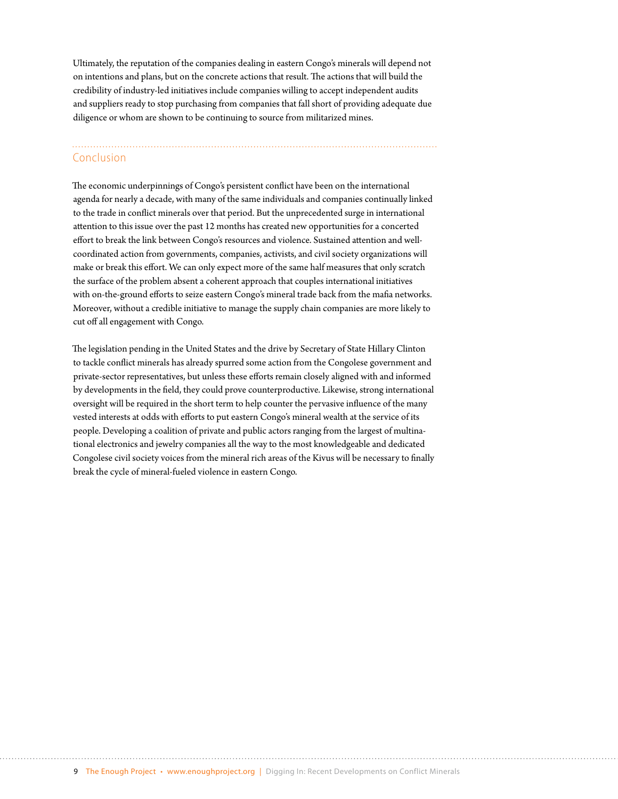Ultimately, the reputation of the companies dealing in eastern Congo's minerals will depend not on intentions and plans, but on the concrete actions that result. The actions that will build the credibility of industry-led initiatives include companies willing to accept independent audits and suppliers ready to stop purchasing from companies that fall short of providing adequate due diligence or whom are shown to be continuing to source from militarized mines.

#### Conclusion

The economic underpinnings of Congo's persistent conflict have been on the international agenda for nearly a decade, with many of the same individuals and companies continually linked to the trade in conflict minerals over that period. But the unprecedented surge in international attention to this issue over the past 12 months has created new opportunities for a concerted effort to break the link between Congo's resources and violence. Sustained attention and wellcoordinated action from governments, companies, activists, and civil society organizations will make or break this effort. We can only expect more of the same half measures that only scratch the surface of the problem absent a coherent approach that couples international initiatives with on-the-ground efforts to seize eastern Congo's mineral trade back from the mafia networks. Moreover, without a credible initiative to manage the supply chain companies are more likely to cut off all engagement with Congo.

The legislation pending in the United States and the drive by Secretary of State Hillary Clinton to tackle conflict minerals has already spurred some action from the Congolese government and private-sector representatives, but unless these efforts remain closely aligned with and informed by developments in the field, they could prove counterproductive. Likewise, strong international oversight will be required in the short term to help counter the pervasive influence of the many vested interests at odds with efforts to put eastern Congo's mineral wealth at the service of its people. Developing a coalition of private and public actors ranging from the largest of multinational electronics and jewelry companies all the way to the most knowledgeable and dedicated Congolese civil society voices from the mineral rich areas of the Kivus will be necessary to finally break the cycle of mineral-fueled violence in eastern Congo.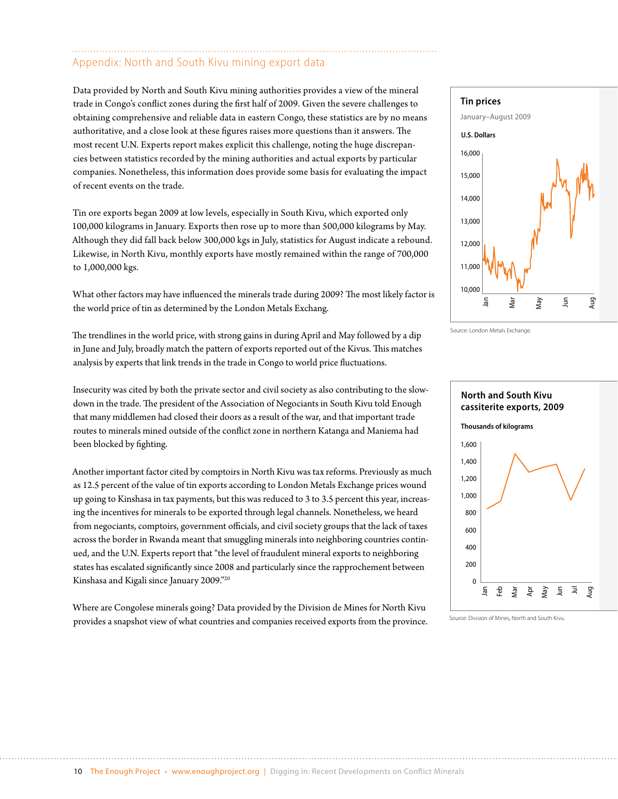### Appendix: North and South Kivu mining export data

Data provided by North and South Kivu mining authorities provides a view of the mineral trade in Congo's conflict zones during the first half of 2009. Given the severe challenges to obtaining comprehensive and reliable data in eastern Congo, these statistics are by no means authoritative, and a close look at these figures raises more questions than it answers. The most recent U.N. Experts report makes explicit this challenge, noting the huge discrepancies between statistics recorded by the mining authorities and actual exports by particular companies. Nonetheless, this information does provide some basis for evaluating the impact of recent events on the trade.

Tin ore exports began 2009 at low levels, especially in South Kivu, which exported only 100,000 kilograms in January. Exports then rose up to more than 500,000 kilograms by May. Although they did fall back below 300,000 kgs in July, statistics for August indicate a rebound. Likewise, in North Kivu, monthly exports have mostly remained within the range of 700,000 to 1,000,000 kgs.

What other factors may have influenced the minerals trade during 2009? The most likely factor is the world price of tin as determined by the London Metals Exchang.

The trendlines in the world price, with strong gains in during April and May followed by a dip in June and July, broadly match the pattern of exports reported out of the Kivus. This matches analysis by experts that link trends in the trade in Congo to world price fluctuations.

Insecurity was cited by both the private sector and civil society as also contributing to the slowdown in the trade. The president of the Association of Negociants in South Kivu told Enough that many middlemen had closed their doors as a result of the war, and that important trade routes to minerals mined outside of the conflict zone in northern Katanga and Maniema had been blocked by fighting.

Another important factor cited by comptoirs in North Kivu was tax reforms. Previously as much as 12.5 percent of the value of tin exports according to London Metals Exchange prices wound up going to Kinshasa in tax payments, but this was reduced to 3 to 3.5 percent this year, increasing the incentives for minerals to be exported through legal channels. Nonetheless, we heard from negociants, comptoirs, government officials, and civil society groups that the lack of taxes across the border in Rwanda meant that smuggling minerals into neighboring countries continued, and the U.N. Experts report that "the level of fraudulent mineral exports to neighboring states has escalated significantly since 2008 and particularly since the rapprochement between Kinshasa and Kigali since January 2009."20

Where are Congolese minerals going? Data provided by the Division de Mines for North Kivu provides a snapshot view of what countries and companies received exports from the province.



Source: London Metals Exchange.



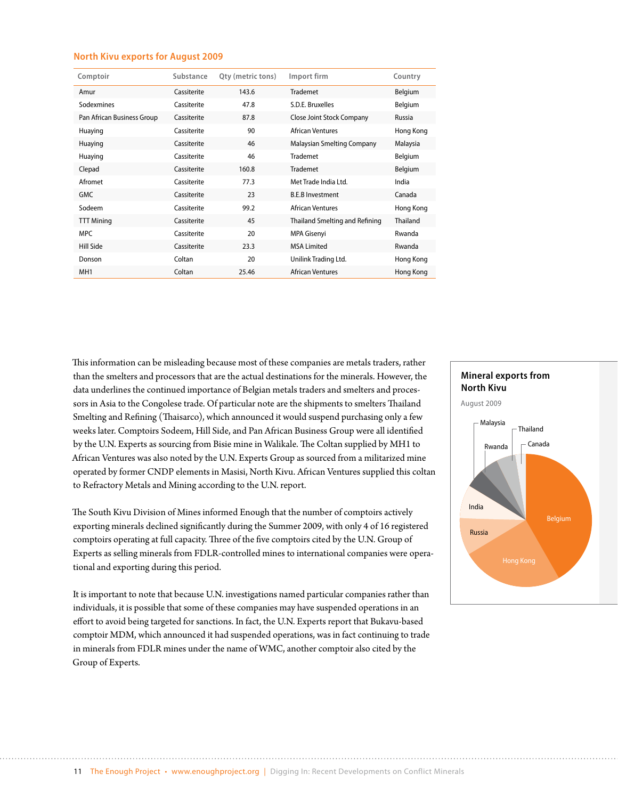#### **North Kivu exports for August 2009**

| Comptoir                   | Substance   | Qty (metric tons) | Import firm                    | Country   |
|----------------------------|-------------|-------------------|--------------------------------|-----------|
| Amur                       | Cassiterite | 143.6             | <b>Trademet</b>                | Belgium   |
| Sodexmines                 | Cassiterite | 47.8              | S.D.E. Bruxelles               | Belgium   |
| Pan African Business Group | Cassiterite | 87.8              | Close Joint Stock Company      | Russia    |
| Huaying                    | Cassiterite | 90                | African Ventures               | Hong Kong |
| Huaying                    | Cassiterite | 46                | Malaysian Smelting Company     | Malaysia  |
| Huaying                    | Cassiterite | 46                | Trademet                       | Belgium   |
| Clepad                     | Cassiterite | 160.8             | Trademet                       | Belgium   |
| Afromet                    | Cassiterite | 77.3              | Met Trade India Ltd.           | India     |
| <b>GMC</b>                 | Cassiterite | 23                | <b>B.E.B Investment</b>        | Canada    |
| Sodeem                     | Cassiterite | 99.2              | <b>African Ventures</b>        | Hong Kong |
| <b>TTT Mining</b>          | Cassiterite | 45                | Thailand Smelting and Refining | Thailand  |
| <b>MPC</b>                 | Cassiterite | 20                | MPA Gisenyi                    | Rwanda    |
| Hill Side                  | Cassiterite | 23.3              | <b>MSA Limited</b>             | Rwanda    |
| Donson                     | Coltan      | 20                | Unilink Trading Ltd.           | Hong Kong |
| MH <sub>1</sub>            | Coltan      | 25.46             | <b>African Ventures</b>        | Hong Kong |

This information can be misleading because most of these companies are metals traders, rather than the smelters and processors that are the actual destinations for the minerals. However, the data underlines the continued importance of Belgian metals traders and smelters and processors in Asia to the Congolese trade. Of particular note are the shipments to smelters Thailand Smelting and Refining (Thaisarco), which announced it would suspend purchasing only a few weeks later. Comptoirs Sodeem, Hill Side, and Pan African Business Group were all identified by the U.N. Experts as sourcing from Bisie mine in Walikale. The Coltan supplied by MH1 to African Ventures was also noted by the U.N. Experts Group as sourced from a militarized mine operated by former CNDP elements in Masisi, North Kivu. African Ventures supplied this coltan to Refractory Metals and Mining according to the U.N. report.

The South Kivu Division of Mines informed Enough that the number of comptoirs actively exporting minerals declined significantly during the Summer 2009, with only 4 of 16 registered comptoirs operating at full capacity. Three of the five comptoirs cited by the U.N. Group of Experts as selling minerals from FDLR-controlled mines to international companies were operational and exporting during this period.

It is important to note that because U.N. investigations named particular companies rather than individuals, it is possible that some of these companies may have suspended operations in an effort to avoid being targeted for sanctions. In fact, the U.N. Experts report that Bukavu-based comptoir MDM, which announced it had suspended operations, was in fact continuing to trade in minerals from FDLR mines under the name of WMC, another comptoir also cited by the Group of Experts.

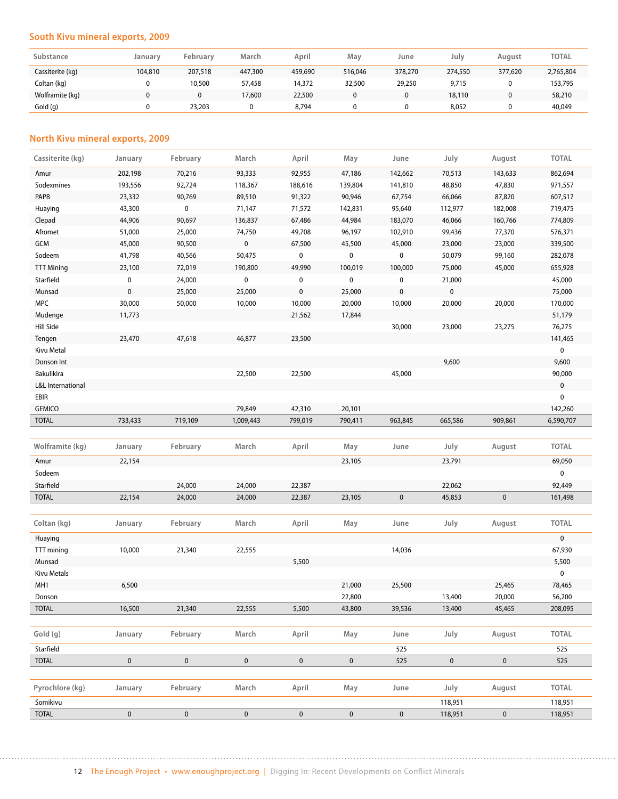#### **South Kivu mineral exports, 2009**

| Substance        | Januarv | February | March   | April   | May     | June    | July    | August  | <b>TOTAL</b> |
|------------------|---------|----------|---------|---------|---------|---------|---------|---------|--------------|
| Cassiterite (kg) | 104,810 | 207,518  | 447,300 | 459,690 | 516.046 | 378,270 | 274,550 | 377,620 | 2,765,804    |
| Coltan (kg)      |         | 10,500   | 57,458  | 14,372  | 32,500  | 29,250  | 9,715   |         | 153,795      |
| Wolframite (kg)  | 0       |          | 17,600  | 22,500  | 0       |         | 18,110  |         | 58,210       |
| Gold (q)         |         | 23,203   |         | 8.794   |         |         | 8,052   |         | 40,049       |

#### **North Kivu mineral exports, 2009**

| Cassiterite (kg)         | January   | February    | March       | April       | May                 | June        | July               | August    | <b>TOTAL</b>       |
|--------------------------|-----------|-------------|-------------|-------------|---------------------|-------------|--------------------|-----------|--------------------|
| Amur                     | 202,198   | 70,216      | 93,333      | 92,955      | 47,186              | 142,662     | 70,513             | 143,633   | 862,694            |
| Sodexmines               | 193,556   | 92,724      | 118,367     | 188,616     | 139,804             | 141,810     | 48,850             | 47,830    | 971,557            |
| PAPB                     | 23,332    | 90,769      | 89,510      | 91,322      | 90,946              | 67,754      | 66,066             | 87,820    | 607,517            |
| Huaying                  | 43,300    | $\mathbf 0$ | 71,147      | 71,572      | 142,831             | 95,640      | 112,977            | 182,008   | 719,475            |
| Clepad                   | 44,906    | 90,697      | 136,837     | 67,486      | 44,984              | 183,070     | 46,066             | 160,766   | 774,809            |
| Afromet                  | 51,000    | 25,000      | 74,750      | 49,708      | 96,197              | 102,910     | 99,436             | 77,370    | 576,371            |
| <b>GCM</b>               | 45,000    | 90,500      | 0           | 67,500      | 45,500              | 45,000      | 23,000             | 23,000    | 339,500            |
| Sodeem                   | 41,798    | 40,566      | 50,475      | $\pmb{0}$   | 0                   | 0           | 50,079             | 99,160    | 282,078            |
| <b>TTT Mining</b>        | 23,100    | 72,019      | 190,800     | 49,990      | 100,019             | 100,000     | 75,000             | 45,000    | 655,928            |
| Starfield                | 0         | 24,000      | $\mathbf 0$ | 0           | $\pmb{0}$           | 0           | 21,000             |           | 45,000             |
| Munsad                   | $\pmb{0}$ | 25,000      | 25,000      | 0           | 25,000              | 0           | 0                  |           | 75,000             |
| <b>MPC</b>               | 30,000    | 50,000      | 10,000      | 10,000      | 20,000              | 10,000      | 20,000             | 20,000    | 170,000            |
| Mudenge                  | 11,773    |             |             | 21,562      | 17,844              |             |                    |           | 51,179             |
| Hill Side                |           |             |             |             |                     | 30,000      | 23,000             | 23,275    | 76,275             |
| Tengen                   | 23,470    | 47,618      | 46,877      | 23,500      |                     |             |                    |           | 141,465            |
| Kivu Metal               |           |             |             |             |                     |             |                    |           | $\mathbf 0$        |
| Donson Int               |           |             |             |             |                     |             | 9,600              |           | 9,600              |
| <b>Bakulikira</b>        |           |             | 22,500      | 22,500      |                     | 45,000      |                    |           | 90,000             |
| L&L International        |           |             |             |             |                     |             |                    |           | $\pmb{0}$          |
| EBIR                     |           |             |             |             |                     |             |                    |           | 0                  |
| <b>GEMICO</b>            |           |             | 79,849      | 42,310      | 20,101              |             |                    |           | 142,260            |
| <b>TOTAL</b>             | 733,433   | 719,109     | 1,009,443   | 799,019     | 790,411             | 963,845     | 665,586            | 909,861   | 6,590,707          |
|                          |           |             |             |             |                     |             |                    |           |                    |
|                          |           |             |             |             |                     |             |                    |           |                    |
| Wolframite (kg)          | January   | February    | March       | April       | May                 | June        | July               | August    | <b>TOTAL</b>       |
| Amur                     | 22,154    |             |             |             | 23,105              |             | 23,791             |           | 69,050             |
| Sodeem                   |           |             |             |             |                     |             |                    |           | $\mathbf 0$        |
| Starfield                |           | 24,000      | 24,000      | 22,387      |                     |             | 22,062             |           | 92,449             |
| <b>TOTAL</b>             | 22,154    | 24,000      | 24,000      | 22,387      | 23,105              | $\pmb{0}$   | 45,853             | $\pmb{0}$ | 161,498            |
|                          |           |             |             |             |                     |             |                    |           |                    |
| Coltan (kg)              | January   | February    | March       | April       | May                 | June        | July               | August    | <b>TOTAL</b>       |
| Huaying                  |           |             |             |             |                     |             |                    |           | $\pmb{0}$          |
| TTT mining               | 10,000    | 21,340      | 22,555      |             |                     | 14,036      |                    |           | 67,930             |
| Munsad                   |           |             |             | 5,500       |                     |             |                    |           | 5,500              |
| <b>Kivu Metals</b>       |           |             |             |             |                     |             |                    |           | 0                  |
| MH1                      | 6,500     |             |             |             | 21,000              | 25,500      |                    | 25,465    | 78,465             |
| Donson                   |           |             |             |             | 22,800              |             | 13,400             | 20,000    | 56,200             |
| <b>TOTAL</b>             | 16,500    | 21,340      | 22,555      | 5,500       | 43,800              | 39,536      | 13,400             | 45,465    | 208,095            |
|                          |           |             |             |             |                     |             |                    |           |                    |
| Gold (g)                 | January   | February    | March       | April       | May                 | June        | July               | August    | <b>TOTAL</b>       |
| Starfield                |           |             |             |             |                     | 525         |                    |           | 525                |
| <b>TOTAL</b>             | $\pmb{0}$ | $\mathbf 0$ | $\pmb{0}$   | $\pmb{0}$   | $\pmb{0}$           | 525         | $\pmb{0}$          | $\pmb{0}$ | 525                |
|                          |           |             |             |             |                     |             |                    |           |                    |
| Pyrochlore (kg)          | January   | February    | March       | April       | May                 | June        | July               | August    | <b>TOTAL</b>       |
| Somikivu<br><b>TOTAL</b> | $\pmb{0}$ | $\mathbf 0$ | $\mathbf 0$ | $\mathbf 0$ | $\mathsf{O}\xspace$ | $\mathbf 0$ | 118,951<br>118,951 | $\pmb{0}$ | 118,951<br>118,951 |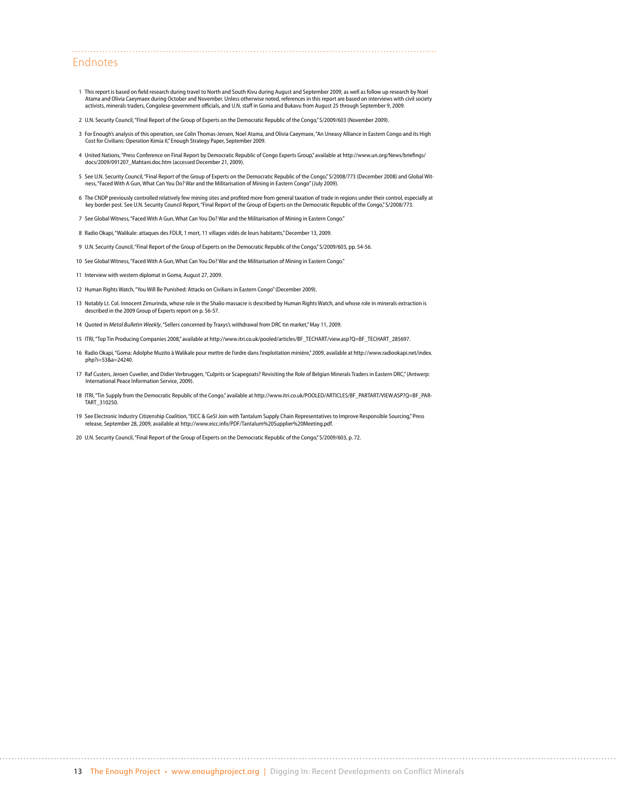#### Endnotes

- 1 This report is based on field research during travel to North and South Kivu during August and September 2009, as well as follow up research by Noel<br>Atama and Olivia Caeymaex during October and November. Unless otherwise activists, minerals traders, Congolese government officials, and U.N. staff in Goma and Bukavu from August 25 through September 9, 2009.
- 2 U.N. Security Council, "Final Report of the Group of Experts on the Democratic Republic of the Congo," S/2009/603 (November 2009).
- 3 For Enough's analysis of this operation, see Colin Thomas-Jensen, Noel Atama, and Olivia Caeymaex, "An Uneasy Alliance in Eastern Congo and its High Cost for Civilians: Operation Kimia II," Enough Strategy Paper, September 2009.
- 4 United Nations, "Press Conference on Final Report by Democratic Republic of Congo Experts Group," available at [http://www.un.org/News/briefings/](http://www.un.org/News/briefings/docs/2009/091207_Mahtani.doc.htm) [docs/2009/091207\\_Mahtani.doc.htm](http://www.un.org/News/briefings/docs/2009/091207_Mahtani.doc.htm) (accessed December 21, 2009).
- 5 See U.N. Security Council, "Final Report of the Group of Experts on the Democratic Republic of the Congo," S/2008/773 (December 2008) and Global Wit-<br>ness, "Faced With A Gun, What Can You Do? War and the Militarisation o
- 6 The CNDP previously controlled relatively few mining sites and profited more from general taxation of trade in regions under their control, especially at key border post. See U.N. Security Council Report, "Final Report of the Group of Experts on the Democratic Republic of the Congo," S/2008/773.
- 7 See Global Witness, "Faced With A Gun, What Can You Do? War and the Militarisation of Mining in Eastern Congo."
- 8 Radio Okapi, "Walikale: attaques des FDLR, 1 mort, 11 villages vidés de leurs habitants," December 13, 2009.
- 9 U.N. Security Council, "Final Report of the Group of Experts on the Democratic Republic of the Congo," S/2009/603, pp. 54-56.
- 10 See Global Witness, "Faced With A Gun, What Can You Do? War and the Militarisation of Mining in Eastern Congo."
- 11 Interview with western diplomat in Goma, August 27, 2009.
- 12 Human Rights Watch, "You Will Be Punished: Attacks on Civilians in Eastern Congo" (December 2009).
- 13 Notably Lt. Col. Innocent Zimurinda, whose role in the Shalio massacre is described by Human Rights Watch, and whose role in minerals extraction is described in the 2009 Group of Experts report on p. 56-57.
- 14 Quoted in *Metal Bulletin Weekly*, "Sellers concerned by Traxys's withdrawal from DRC tin market," May 11, 2009.
- 15 ITRI, "Top Tin Producing Companies 2008," available at [http://www.itri.co.uk/pooled/articles/BF\\_TECHART/view.asp?Q=BF\\_TECHART\\_285697.](http://www.itri.co.uk/pooled/articles/BF_TECHART/view.asp?Q=BF_TECHART_285697)
- 16 Radio Okapi, "Goma: Adolphe Muzito à Walikale pour mettre de l'ordre dans l'exploitation minière," 2009, available at [http://www.radiookapi.net/index.](http://www.radiookapi.net/index.php?i=53&a=24240) [php?i=53&a=24240.](http://www.radiookapi.net/index.php?i=53&a=24240)
- 17 Raf Custers, Jeroen Cuvelier, and Didier Verbruggen, "Culprits or Scapegoats? Revisiting the Role of Belgian Minerals Traders in Eastern DRC," (Antwerp: International Peace Information Service, 2009).
- 18 ITRI, "Tin Supply from the Democratic Republic of the Congo," available at [http://www.itri.co.uk/POOLED/ARTICLES/BF\\_PARTART/VIEW.ASP?Q=BF\\_PAR-](http://www.itri.co.uk/POOLED/ARTICLES/BF_PARTART/VIEW.ASP?Q=BF_PARTART_310250)[TART\\_310250.](http://www.itri.co.uk/POOLED/ARTICLES/BF_PARTART/VIEW.ASP?Q=BF_PARTART_310250)
- 19 See Electronic Industry Citizenship Coalition, "EICC & GeSI Join with Tantalum Supply Chain Representatives to Improve Responsible Sourcing," Press release, September 28, 2009, available at [http://www.eicc.info/PDF/Tantalum%20Supplier%20Meeting.pdf.](http://www.eicc.info/PDF/Tantalum Supplier Meeting.pdf)
- 20 U.N. Security Council, "Final Report of the Group of Experts on the Democratic Republic of the Congo," S/2009/603, p. 72.